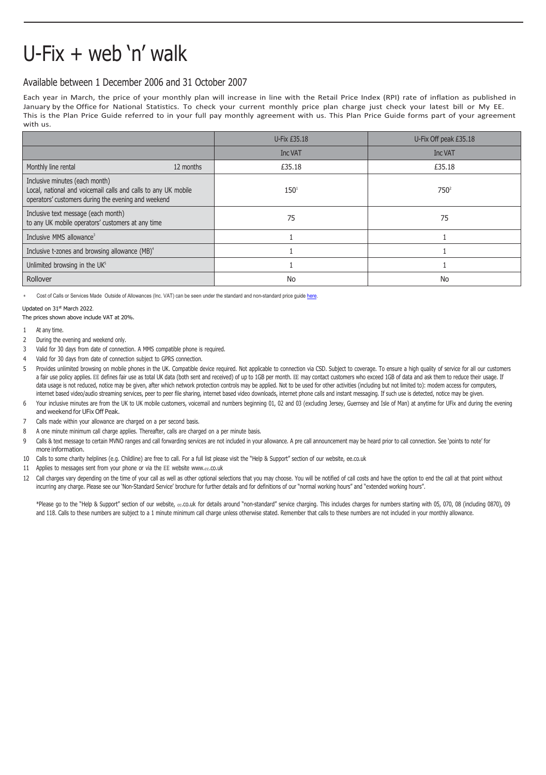## U-Fix + web 'n' walk

## Available between 1 December 2006 and 31 October 2007

Each year in March, the price of your monthly plan will increase in line with the Retail Price Index (RPI) rate of inflation as published in January by the Office for National Statistics. To check your current monthly price plan charge just check your latest bill or My EE. This is the Plan Price Guide referred to in your full pay monthly agreement with us. This Plan Price Guide forms part of your agreement with us.

|                                                                                                                                                         | U-Fix £35.18   | U-Fix Off peak £35.18 |
|---------------------------------------------------------------------------------------------------------------------------------------------------------|----------------|-----------------------|
|                                                                                                                                                         | <b>Inc VAT</b> | Inc VAT               |
| 12 months<br>Monthly line rental                                                                                                                        | £35.18         | £35.18                |
| Inclusive minutes (each month)<br>Local, national and voicemail calls and calls to any UK mobile<br>operators' customers during the evening and weekend | $150^{1}$      | 750 <sup>2</sup>      |
| Inclusive text message (each month)<br>to any UK mobile operators' customers at any time                                                                | 75             | 75                    |
| Inclusive MMS allowance <sup>3</sup>                                                                                                                    |                |                       |
| Inclusive t-zones and browsing allowance (MB) <sup>4</sup>                                                                                              |                |                       |
| Unlimited browsing in the UK <sup>5</sup>                                                                                                               |                |                       |
| Rollover                                                                                                                                                | No             | No                    |

Cost of Calls or Services Made Outside of Allowances (Inc. VAT) can be seen under the standard and non-standard price guide here

Updated on 31st March 2022.

The prices shown above include VAT at 20%.

- 1 At any time.
- 2 During the evening and weekend only.
- 3 Valid for 30 days from date of connection. A MMS compatible phone is required.
- 4 Valid for 30 days from date of connection subject to GPRS connection.
- 5 Provides unlimited browsing on mobile phones in the UK. Compatible device required. Not applicable to connection via CSD. Subject to coverage. To ensure a high quality of service for all our customers a fair use policy applies. EE defines fair use as total UK data (both sent and received) of up to 1GB per month. EE may contact customers who exceed 1GB of data and ask them to reduce their usage. If data usage is not reduced, notice may be given, after which network protection controls may be applied. Not to be used for other activities (including but not limited to): modem access for computers, internet based video/audio streaming services, peer to peer file sharing, internet based video downloads, internet phone calls and instant messaging. If such use is detected, notice may be given.
- 6 Your inclusive minutes are from the UK to UK mobile customers, voicemail and numbers beginning 01, 02 and 03 (excluding Jersey, Guernsey and Isle of Man) at anytime for UFix and during the evening and weekend for UFix Off Peak.
- 7 Calls made within your allowance are charged on a per second basis.
- 8 A one minute minimum call charge applies. Thereafter, calls are charged on a per minute basis.
- 9 Calls & text message to certain MVNO ranges and call forwarding services are not included in your allowance. A pre call announcement may be heard prior to call connection. See 'points to note' for more information.
- 10 Calls to some charity helplines (e.g. Childline) are free to call. For a full list please visit the "Help & Support" section of our website, ee.co.uk
- 11 Applies to messages sent from your phone or via the EE website www.ee[.co.uk](http://www.ee.co.uk/)
- 12 Call charges vary depending on the time of your call as well as other optional selections that you may choose. You will be notified of call costs and have the option to end the call at that point without incurring any charge. Please see our 'Non-Standard Service' brochure for further details and for definitions of our "normal working hours" and "extended working hours".

\*Please go to the "Help & Support" section of our website, ee.co.uk for details around "non-standard" service charging. This includes charges for numbers starting with 05, 070, 08 (including 0870), 09 and 118. Calls to these numbers are subject to a 1 minute minimum call charge unless otherwise stated. Remember that calls to these numbers are not included in your monthly allowance.